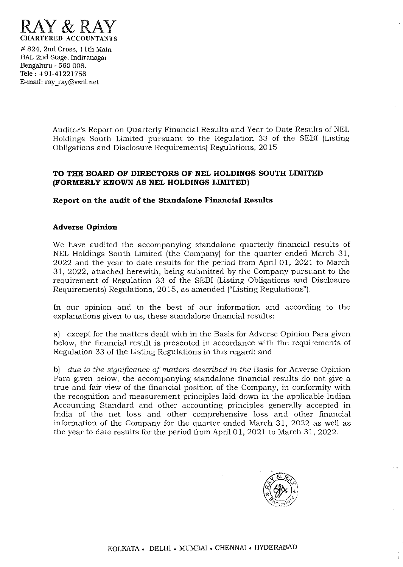

# 824. 2nd Cross. II th Main HAL 2nd Stage. Indiranagar Bengaluru - 560 008. Tele: +91-41221758 E-mail: ray\_ray@vsnl.net

> Auditor's Report on Quarterly Financial Results and Year to Date Results of NEL Holdings South Limited pursuant to the Regulation 33 of the SEBI (Listing Obligations and Disclosure Requirements) Regulations, 2015

# **TO THE BOARD OF DIRECTORS OF NEL HOLDINGS SOUTH LIMITED (FORMERLY KNOWN AS NEL HOLDINGS LIMITED)**

# **Report on the audit of the Standalone Financial Results**

# **Adverse Opinion**

We have audited the accompanying standalone quarterly financial results of NEL Holdings South Limited (the Company) for the quarter ended March 31, 2022 and the year to date results for the period from April 01, 2021 to March 31, 2022, attached herewith, being submitted by the Company pursuant to the requirement of Regulation 33 of the SEBI (Listing Obligations and Disclosure Requirements) Regulations, 2015, as amended ("Listing Regulations").

In our opinion and to the best of our information and according to the explanations given to us, these standalone financial results:

a) except for the matters dealt with in the Basis for Adverse Opinion Para given below, the financial result is presented in accordance with the requirements of Regulation 33 of the Listing Regulations in this regard; and

b) *due to the significance of matters described in the* Basis for Adverse Opinion Para given below, the accompanying standalone financial results do not give a true and fair view of the financial position of the Company, in conformity with the recognition and measurement principles laid down in the applicable Indian Accounting Standard and other accounting principles generally accepted in India of the net loss and other comprehensive loss and other financial information of the Company for the quarter ended March 31, 2022 as wcll as the year to date results for the period from April 01, 2021 to March 31, 2022.

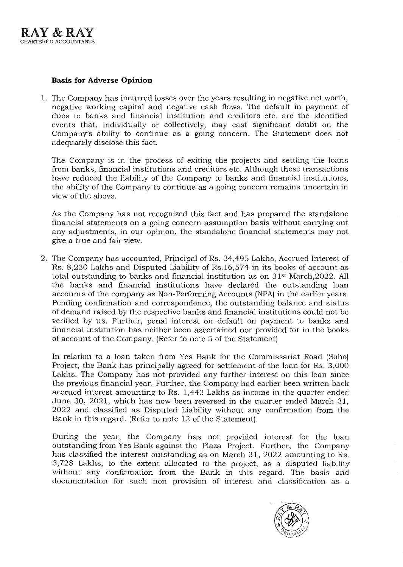

# **Basis for Adverse Opinion**

1. The Company has incurred losses over the years resulting in negative net worth, negative working capital and negative cash flows. The default in payment of dues to banks and financial institution and creditors etc. are the identified events that, individually or collectively, may cast significant doubt on the Company's ability to continue as a going concern. The Statement does not adequately disclose this fact.

The Company is in the process of exiting the projects and settling the loans from banks, financial institutions and creditors etc. Although these transactions have reduced the liability of the Company to banks and financial institutions, the ability of the Company to continue as a going concern remains uncertain in view of the above.

As the Company has not recognized this fact and has prepared the standalone financial statements on a going concern assumption basis without carrying out any adjustments, in our opinion, the standalone financial statements may not give a true and fair view.

2. The Company has accounted, Principal of Rs. 34,495 Lakhs, Accrued Interest of Rs. 8,230 Lakhs and Disputed Liability of Rs.16,574 in its books of account as total outstanding to banks and financial institution as on 31st March,2022. All the banks and financial institutions have declared the outstanding loan accounts of the company as Non-Performing Accounts (NPA) in the earlier years. Pending confirmation and correspondence, the outstanding balance and status of demand raised by the respective banks and financial institutions could not be verified by us. Further, penal interest on default on payment to banks and financial institution has neither been ascertained nor provided for in the books of account of the Company. (Refer to note 5 of the Statement)

In relation to a loan taken from Yes Bank for the Commissariat Road (Soho) Project, the Bank has principally agreed for settlement of the loan for Rs. 3,000 Lakhs. The Company has not provided any further interest on this loan since the previous financial year. Further, the Company had earlier been written back accrued interest amounting to Rs. 1,443 Lakhs as income in the quarter ended June 30, 2021, which has now been reversed in the quarter ended March 31, 2022 and classified as Disputed Liability without any confirmation from the Bank in this regard. (Refer to note 12 of the Statement).

During the year, the Company has not provided interest for the loan outstanding from Yes Bank against the Plaza Project. Further, the Company has classified the interest outstanding as on March 31, 2022 amounting to Rs. 3,728 Lakhs, to the extent allocated to the project, as a disputed liability without any confirmation from the Bank in this regard. The basis and documentation for such non provision of interest and classification as a

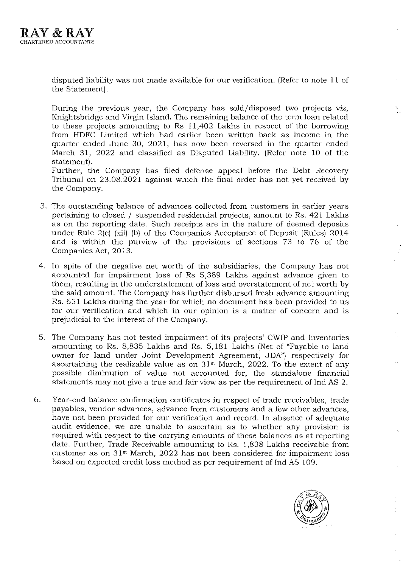disputed liability was not made available for our verification. (Refer to note **11** of the Statement).

During the previous year, the Company has sold/disposed two projects viz, Knightsbridge and Virgin Island. The remaining balance of the term loan related to these projects amounting to Rs 11,402 Lakhs in respect of the borrowing from HDFC Limited which had earlier been written back as income in the quarter ended June 30, 2021, has now been reversed in the quarter ended March 31, 2022 and classified as Disputed Liability. (Refer note 10 of the statement).

Further, the Company has filed defense appeal before the Debt Recovery Tribunal on 23.08.2021 against which the final order has not yet received by the Company.

- 3. The outstanding balance of advances collected from customers in earlier years pertaining to closed / suspended residential projects, amount to Rs. 421 Lakhs as on the reporting date. Such receipts are in the nature of deemed deposits under Rule 2(c) (xii) (b) of the Companies Acceptance of Deposit (Rules) 2014 and is within the purview of the provisions of sections 73 to 76 of the Companies Act, 2013.
- 4. In spite of the negative net worth of the subsidiaries, the Company has not accounted for impairment loss of Rs 5,389 Lakhs against advance given to them, resulting in the understatement of loss and overstatement of net worth by the said amount. The Company has further disbursed fresh advance amounting Rs. 651 Lakhs during the year for which no document has been provided to us for our verification and which in our opinion is a matter of concern and is prejudicial to the interest of the Company.
- 5. The Company has not tested impairment of its projects' CWIP and Inventories amounting to Rs. 8,835 Lakhs and Rs. 5,181 Lakhs (Net of "Payable to land owner for land under Joint Development Agreement, JDA") respectively for ascertaining the realizable value as on  $31<sup>st</sup>$  March, 2022. To the extent of any possible diminution of value not accounted for, the standalone financial statements may not give a true and fair view as per the requirement of Ind AS 2.
- 6. Year-end balance confirmation certificates in respect of trade receivables, trade payables, vendor advances, advance from customers and a few other advances, have not been provided for our verification and record. In absence of adequate audit evidence, we are unable to ascertain as to whether any provision is required with respect to the carrying amounts of these balances as at reporting date. Further, Trade Receivable amounting to Rs. 1,838 Lakhs receivable from customer as on 31st March, 2022 has not been considered for impairment loss based on expected credit loss method as per requirement of Ind AS 109.

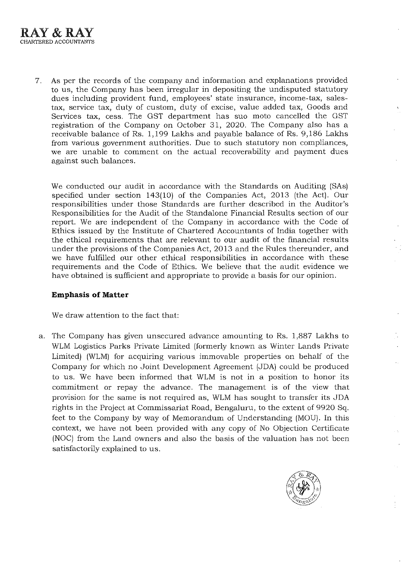

7. As per the records of the company and information and explanations provided to us, the Company has been irregular in depositing the undisputed statutory dues including provident fund, employees' state insurance, income-tax, salestax, service tax, duty of custom, duty of excise, value added tax, Goods and Services tax, cess. The GST department has suo moto cancelled the GST registration of the Company on October 31, 2020. The Company also has a receivable balance of Rs. 1,199 Lakhs and payable balance of Rs. 9,186 Lakhs from various government authorities. Due to such statutory non compliances, we are unable to comment on the actual recoverability and payment dues against such balances.

We conducted our audit in accordance with the Standards on Auditing (SAs) specified under section 143(10) of the Companies Act, 2013 (the Act). Our responsibilities under those Standards are further described in the Auditor's Responsibilities for the Audit of the Standalone Financial Results section of our report. We are independent of the Company in accordance with the Code of Ethics issued by the Institute of Chartered Accountants of India together with the ethical requirements that are relevant to our audit of the financial results under the provisions of the Companies Act, 2013 and the Rules thereunder, and we have fulfilled our other ethical responsibilities in accordance with these requirements and the Code of Ethics. We believe that the audit evidence we have obtained is sufficient and appropriate to provide a basis for our opinion.

# **Emphasis of Matter**

We draw attention to the fact that:

a. The Company has given unsecured advance amounting to Rs. 1,887 Lakhs to WLM Logistics Parks Private Limited (formerly known as Winter Lands Private Limited) (WLM) for acquiring various immovable properties on behalf of the Company for which no Joint Development Agreement (JDA) could be produced to us. We have been informed that WLM is not in a position to honor its commitment or repay the advance. The management is of the view that provision for the same is not required as, WLM has sought to transfer its JDA rights in the Project at Commissariat Road, Bengaluru, to the extent of 9920 Sq. feet to the Company by way of Memorandum of Understanding (MOU). In this context, we have not been provided with any copy of No Objection Certificate (NOC) from the Land owners and also the basis of the valuation has not been satisfactorily explained to us.

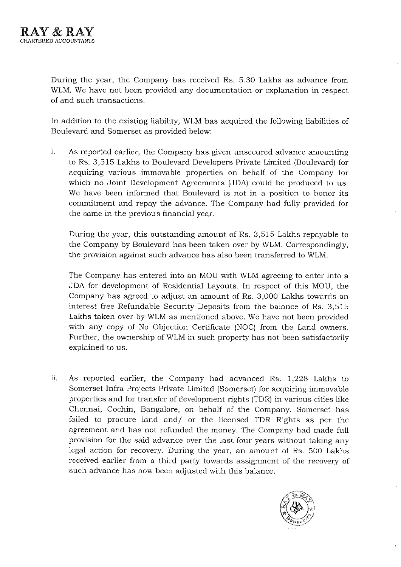During the year, the Company has received Rs. 5.30 Lakhs as advance from WLM. We have not been provided any documentation or explanation in respect of and such transactions.

In addition to the existing liability, WLM has acquired the following liabilities of Boulevard and Somerset as provided below:

1. As reported earlier, the Company has given unsecured advance amounting to Rs. 3,515 Lakhs to Boulevard Developers Private Limited (Boulevard) for acquiring various immovable properties on behalf of the Company for which no Joint Development Agreements (JDA) could be produced to us. We have been informed that Boulevard is not in a position to honor its commitment and repay the advance. The Company had fully provided for the same in the previous financial year.

During the year, this outstanding amount of Rs. 3,515 Lakhs repayable to the Company by Boulevard has been taken over by WLM. Correspondingly, the provision against such advance has also been transferred to WLM.

The Company has entered into an MOU with WLM agreeing to enter into a JDA for development of Residential Layouts. In respect of this MOU, the Company has agreed to adjust an amount of Rs. 3,000 Lakhs towards an interest free Refundable Security Deposits from the balance of Rs. 3,515 Lakhs taken over by WLM as mentioned above. We have not been provided with any copy of No Objection Certificate (NOC) from the Land owners. Further, the ownership of WLM in such property has not been satisfactorily explained to us.

ii. As reported earlier, the Company had advanced Rs. 1,228 Lakhs to Somerset Infra Projects Private Limited (Somerset) for acquiring immovable properties and for transfer of development rights (TOR) in various cities like Chennai, Cochin, Bangalore, on behalf of the Company. Somerset has failed to procure land and/ or the licensed TOR Rights as per the agreement and has not refunded the money. The Company had made full provision for the said advance over the last four years without taking any legal action for recovery. During the year, an amount of Rs. 500 Lakhs received earlier from a third party towards assignment of the recovery of such advance has now been adjusted with this balance.

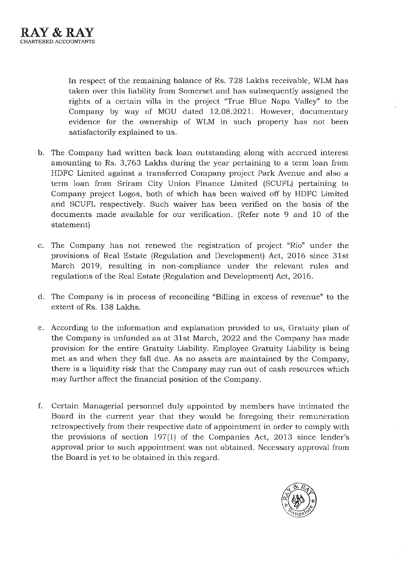In respect of the remaining balance of Rs. 728 Lakhs receivable, WLM has taken over this liability from Somerset and has subsequently assigned the rights of a certain villa in the project "True Blue Napa Valley" to the Company by way of MOU dated 12.08.202l. However, documentary evidence for the ownership of WLM in such property has not been satisfactorily explained to us.

- b. The Company had written back loan outstanding along with accrued interest amounting to Rs. 3,763 Lakhs during the year pertaining to a term loan from HDFC Limited against a transferred Company project Park Avenue and also a term loan from Sriram City Union Finance Limited (SCUFL) pertaining to Company project Logos, both of which has been waived off by HDFC Limited and SCUFL respectively. Such waiver has been verified on the basis of the documents made available for our verification. (Refer note 9 and 10 of the statement)
- c. The Company has not renewed the registration of project "Rio" under the provisions of Real Estate (Regulation and Development) Act, 2016 since 31st March 2019, resulting in non-compliance under the relevant rules and regulations of the Real Estate (Regulation and Development) Act, 2016.
- d. The Company is in process of reconciling "Billing in excess of revenue" to the extent of Rs. 138 Lakhs.
- e. According to the information and explanation provided to us, Gratuity plan of the Company is unfunded as at 31st March, 2022 and the Company has made provision for the entire Gratuity Liability. Employee Gratuity Liability is being met as and when they fall due. As no assets are maintained by the Company, there is a liquidity risk that the Company may run out of cash resources which may further affect the financial position of the Company.
- f. Certain Managerial personnel duly appointed by members have intimated the Board in the current year that they would be foregoing their remuneration retrospectively from their respective date of appointment in order to comply with the provisions of section 197(1) of the Companies Act, 2013 since lender's approval prior to such appointment was not obtained. Necessary approval from the Board is yet to be obtained in this regard.

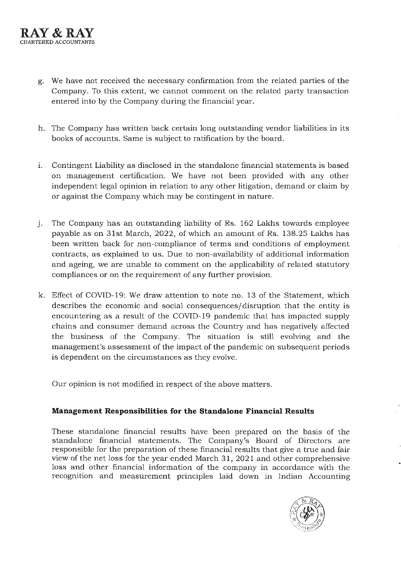- g. We have not received the necessary confirmation from the related parties of the Company. To this extent, we cannot comment on the related party transaction entered into by the Company during the financial year.
- h. The Company has written back certain long outstanding vendor liabilities in its books of accounts. Same is subject to ratification by the board.
- 1. Contingent Liability as disclosed in the standalone financial statements is based on management certification. We have not been provided with any other independent legal opinion in relation to any other litigation, demand or claim by or against the Company which may be contingent in nature.
- j. The Company has an outstanding liability of Rs. 162 Lakhs towards employee payable as on 31st March, 2022, of which an amount of Rs. 138.25 Lakhs has been written back for non-compliance of terms and conditions of employment contracts, as explained to us. Due to non-availability of additional information and ageing, we are unable to comment on the applicability of related statutory compliances or on the requirement of any further provision.
- k. Effect of COVID-19: We draw attention to note no. 13 of the Statement, which describes the economic and social consequences/disruption that the entity is encountering as a result of the COVID-19 pandemic that has impacted supply chains and consumer demand across the Country and has negatively affected the business of the Company. The situation is still evolving and the management's assessment of the impact of the pandemic on subsequent periods is dependent on the circumstances as they evolve.

Our opinion is not modified in respect of the above matters.

# **Management Responsibilities for the Standalone Financial Results**

These standalone financial results have been prepared on the basis of the standalone financial statements. The Company's Board of Directors are responsible for the preparation of these financial results that give a true and fair view of the net loss for the year ended March 31, 2021 and other comprehensive loss and other financial information of the company in accordance with the recognition and measurement principles laid down in Indian Accounting

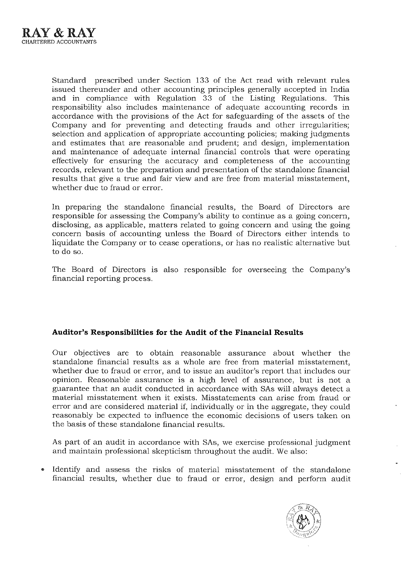Standard prescribed under Section 133 of the Act read with relevant rules issued thereunder and other accounting principles generally accepted in India and in compliance with Regulation 33 of the Listing Regulations. This responsibility also includes maintenance of adequate accounting records in accordance with the provisions of the Act for safeguarding of the assets of the Company and for preventing and detecting frauds and other irregularities; selection and application of appropriate accounting policies; making judgments and estimates that are reasonable and prudent; and design, implementation and maintenance of adequate internal financial controls that were operating effectively for ensuring the accuracy and completeness of the accounting records, relevant to the preparation and presentation of the standalone financial results that give a true and fair view and are free from material misstatement, whether due to fraud or error.

In preparing the standalone financial results, the Board of Directors are responsible for assessing the Company's ability to continue as a going concern, disclosing, as applicable, matters related to going concern and using the going concern basis of accounting unless the Board of Directors either intends to liquidate the Company or to cease operations, or has no realistic alternative but to do so.

The Board of Directors is also responsible for overseemg the Company's financial reporting proccss.

# **Auditor's Responsibilities for the Audit of the Financial Results**

Our objectives arc to obtain reasonable assurance about whether the standalone financial results as a whole are free from material misstatement, whether due to fraud or error, and to issue an auditor's report that includes our opinion. Reasonable assurance is a high level of assurance, but is not a guarantee that an audit conducted in accordance with SAs will always detect a material misstatement when it exists. Misstatements can arise from fraud or error and are considered material if, individually or in the aggregate, they could reasonably be expected to influence the economic decisions of users taken on the basis of these standalone financial results.

As part of an audit in accordance with SAs, we exercise professional judgment and maintain professional skepticism throughout the audit. We also:

Identify and assess the risks of material misstatement of the standalone financial results, whether due to fraud or error, design and perform audit

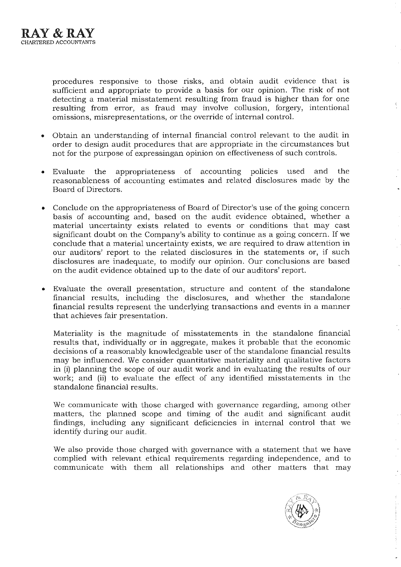procedures responsive to those risks, and obtain audit evidence that is sufficient and appropriate to provide a basis for our opinion. The risk of not detecting a material misstatement resulting from fraud is higher than for one resulting from error, as fraud may involve collusion, forgery, intentional omissions, misrepresentations, or the override of internal control.

- Obtain an understanding of internal financial control relevant to the audit in order to design audit procedures that are appropriate in the circumstances but not for the purpose of expressingan opinion on effectiveness of such controls.
- Evaluate the appropriateness of accounting policies used and the reasonableness of accounting estimates and related disclosures made by the Board of Directors.
- Conclude on the appropriateness of Board of Director's use of the going concern basis of accounting and, based on the audit evidence obtained, whether a material uncertainty exists related to events or conditions that may cast significant doubt on the Company's ability to continue as a going concern. If we conclude that a material uncertainty exists, we are required to draw attention in our auditors' report to the related disclosures in the statements or, if such disclosures are inadequate, to modify our opinion. Our conclusions are based on the audit evidence obtained up to the date of our auditors' report.
- Evaluate the overall presentation, structure and content of the standalone financial results, including the disclosures, and whether the standalone financial results represent the underlying transactions and events in a manner that achieves fair presentation.

Materiality is the magnitude of misstatements in the standalone financial results that, individually or in aggregate, makes it probable that the economic decisions of a reasonably knowledgeable user of the standalone financial results may be influenced. We consider quantitative materiality and qualitative factors in (i) planning the scope of our audit work and in evaluating the results of our work; and (ii) to evaluate the effect of any identified misstatements in the standalone financial results.

We communicate with those charged with governance regarding, among other matters, the planned scope and timing of the audit and significant audit findings, including any significant deficiencies in internal control that we identify during our audit.

We also provide those charged with governance with a statement that we have complied with relevant ethical requirements regarding independence, and to communicate with them all relationships and other matters that may

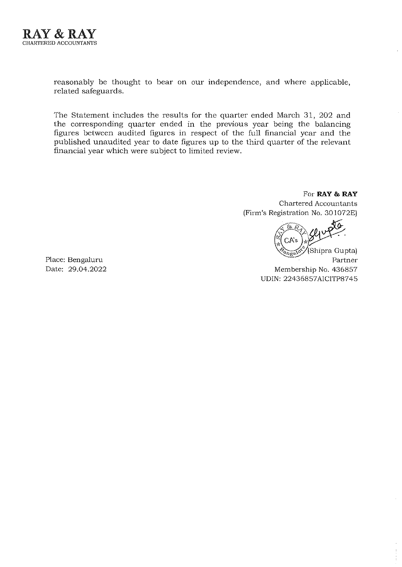reasonably be thought to bear on our independence, and where applicable, related safeguards.

The Statement includes the results for the quarter ended March 31, 202 and the corresponding quarter ended in the previous year being the balancing figures between audited figures in respect of the full financial year and the published unaudited year to date figures up to the third quarter of the relevant financial year which were subject to limited review.

> For **RAY & RAY**  Chartered Accountants (Firm's Registration No. 301072E)

h CA + 184 --- $\chi$ (CA's ) $\chi$ Shipra Gupta)

Partner Membership No. 436857 UDIN: 22436857AICITP8745

Place: Bengaluru Date: 29.04.2022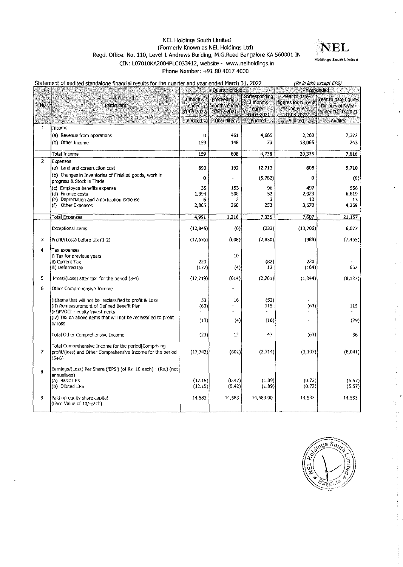## NEL Holdings South Limited (Formerly Known as NEL Holdings Ltd) Regd. Office: No. 110, Level 1 Andrews Building, M.G.Road Bangalore KA 560001 IN ClN: L0701OKA2004PLC033412, website - www.nelholdings.in



š,

 $\frac{1}{3}$ 

Phone Number: +918040174000

|                              | Statement of audited standalone financial results for the quarter and year ended March 31, 2022                                                                                                                        |                                 |                                            |                                                  |                                                                   | (Rs in lakh except EPS)                                       |
|------------------------------|------------------------------------------------------------------------------------------------------------------------------------------------------------------------------------------------------------------------|---------------------------------|--------------------------------------------|--------------------------------------------------|-------------------------------------------------------------------|---------------------------------------------------------------|
|                              |                                                                                                                                                                                                                        | <b>Ouarter ended</b>            |                                            |                                                  | Year ended                                                        |                                                               |
| No                           | Particulars                                                                                                                                                                                                            | 3 months<br>ended<br>31-03-2022 | Preceeding 3<br>months ended<br>31-12-2021 | Corresponding<br>3 months<br>ended<br>31-03-2021 | Year to date<br>figures for current<br>period ended<br>31.03.2022 | ear to date figures<br>for previous year.<br>ended 31.03.2021 |
|                              |                                                                                                                                                                                                                        | Audited                         | <b>Unaudited</b>                           | Audited                                          | Audited                                                           | Audited                                                       |
| $\mathbf{1}$                 | Income<br>(a) Revenue from operations<br>(b) Other Income                                                                                                                                                              | 0<br>159                        | 461<br>148                                 | 4,665<br>73                                      | 2.260<br>18.065                                                   | 7,372<br>243                                                  |
|                              | <b>Total Income</b>                                                                                                                                                                                                    | 159                             | 608                                        | 4,738                                            | 20,325                                                            | 7,616                                                         |
| $\overline{z}$               | Expenses<br>(a) Land and construction cost<br>(b) Changes in Inventories of Finished goods, work in                                                                                                                    | 690<br>$\bf{0}$                 | 192                                        | 12,713<br>(5,782)                                | 605<br>0                                                          | 9,710<br>(0)                                                  |
|                              | progress & Stock in Trade                                                                                                                                                                                              |                                 |                                            |                                                  |                                                                   |                                                               |
|                              | (c) Employee benefits expense<br>(d) Finance costs<br>(e) Depreciation and amortization expense                                                                                                                        | 35<br>1,394<br>6                | 153<br>508<br>2                            | 96<br>52<br>3                                    | 497<br>2,923<br>12                                                | 556<br>6,619<br>13                                            |
|                              | (f) Other Expenses                                                                                                                                                                                                     | 2,865                           | 360                                        | 252                                              | 3.570                                                             | 4,259                                                         |
|                              | <b>Total Expenses</b>                                                                                                                                                                                                  | 4,991                           | 1,216                                      | 7,335                                            | 7.607                                                             | 21.157                                                        |
|                              | Exceptional items                                                                                                                                                                                                      | (12, 845)                       | (0)                                        | (233)                                            | (13.706)                                                          | 6,077                                                         |
| 3                            | Profit/(Loss) before tax (1-2)                                                                                                                                                                                         | (17, 676)                       | (608)                                      | (2, 830)                                         | (988)                                                             | (7, 465)                                                      |
| $\overline{\mathbf{4}}$<br>5 | Tax expenses<br>i) Tax for previous years<br>iii) Current Tax<br>iii) Deferred tax<br>Profit/(Loss) after tax for the period (3-4)                                                                                     | 220<br>(177)<br>(17, 719)       | 10<br>(4)<br>(614)                         | (82)<br>13<br>(2,761)                            | 220<br>(164)<br>(1.044)                                           | 662<br>(8.127)                                                |
| 6                            | Other Comprehensive Income                                                                                                                                                                                             |                                 |                                            |                                                  |                                                                   |                                                               |
|                              | (i)Items that will not be reclassified to profit & Loss<br>(iI) Remeasurement of Defined Benefit Plan<br>(III)FVOCI - equity investments<br>(iv) Tax on above items that will not be reclassified to profit<br>or loss | 53<br>(63)<br>(13)              | 16<br>(4)                                  | (52)<br>115<br>(16)                              | (63)                                                              | 115<br>(29)                                                   |
|                              | Total Other Comprehensive Income                                                                                                                                                                                       | (23)                            | 12                                         | 47                                               | (63)                                                              | 86                                                            |
| $\overline{z}$               | Total Comprehensive Income for the period[Comprising<br>profit/(loss) and Other Comprehensive Income for the period<br>$(5+6)$                                                                                         | (17,742)                        | (602)                                      | (2,714)                                          | (1, 107)                                                          | (8.041)                                                       |
| 8                            | Earnings/(Loss) Per Share ('EPS') (of Rs. 10 each) - (Rs.) (not<br>annualised)<br>(a) Basic EPS<br>(b) Diluted EPS                                                                                                     | (12.15)<br>(12.15)              | (0.42)<br>(0.42)                           | (1.89)<br>(1.89)                                 | (0.72)<br>(0.72)                                                  | (5.57)<br>(5.57)                                              |
| 9.                           | Paid up equity share capital<br>(Face Value of 10/-each)                                                                                                                                                               | 14,583                          | 14,583                                     | 14,583.00                                        | 14,583                                                            | 14.583                                                        |
|                              |                                                                                                                                                                                                                        |                                 |                                            |                                                  |                                                                   |                                                               |

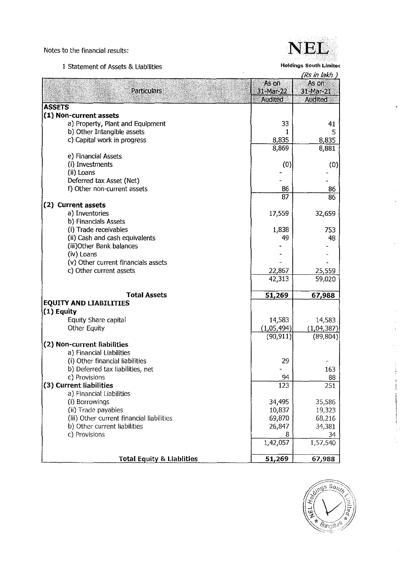Notes to the financial results:





 $\ddot{\phantom{0}}$ 

 $\hat{\mathcal{L}}$  $\bar{\mathbf{r}}$ 

 $\bar{\omega}$ 

 $\hat{\boldsymbol{\beta}}$  $\hat{\mathcal{L}}$  $\hat{E}$ 

ć,

 $\begin{array}{c} \frac{1}{2} \\ \frac{1}{2} \end{array}$ 

 $\frac{1}{2}$ 

|                                           |                | (Rs in lakh ,  |  |  |
|-------------------------------------------|----------------|----------------|--|--|
|                                           | As on          | As on          |  |  |
| <b>Particulars</b>                        | 31-Mar-22      | 31-Mar-21      |  |  |
| <b>ASSETS</b>                             | <b>Audited</b> | <b>Audited</b> |  |  |
| (1) Non-current assets                    |                |                |  |  |
| a) Property, Plant and Equipment          | 33             | 41             |  |  |
| b) Other Intangible assets                |                | 5              |  |  |
| c) Capital work in progress               | 8,835          | 8,835          |  |  |
|                                           | 8,869          | 8,881          |  |  |
| e) Financial Assets                       |                |                |  |  |
| (i) Investments                           | (0)            | (0)            |  |  |
| (ii) Loans                                |                |                |  |  |
| Deferred tax Asset (Net)                  |                |                |  |  |
| f) Other non-current assets               | 86             | 86             |  |  |
|                                           | 87             | 86             |  |  |
| (2) Current assets                        |                |                |  |  |
| a) Inventories                            | 17,559         | 32,659         |  |  |
| b) Financials Assets                      |                |                |  |  |
| (i) Trade receivables                     | 1,838          | 753            |  |  |
| (ii) Cash and cash equivalents            | 49             | 48             |  |  |
| (iii) Other Bank balances                 |                |                |  |  |
| (iv) Loans                                |                |                |  |  |
| (v) Other current financials assets       |                |                |  |  |
| c) Other current assets                   | 22,867         | 25,559         |  |  |
|                                           | 42,313         | 59,020         |  |  |
| <b>Total Assets</b>                       | 51,269         | 67,988         |  |  |
| <b>EQUITY AND LIABILITIES</b>             |                |                |  |  |
| (1) Equity                                |                |                |  |  |
| Equity Share capital                      | 14,583         | 14,583         |  |  |
| Other Equity                              | (1,05,494)     | (1,04,387)     |  |  |
|                                           | (90, 911)      | (89, 804)      |  |  |
| (2) Non-current liabilities               |                |                |  |  |
| a) Financial Liabilities                  |                |                |  |  |
| (i) Other financial liabilities           | 29             |                |  |  |
| b) Deferred tax liabilities, net          |                | 163            |  |  |
| c) Provisions                             | 94             | 88             |  |  |
| (3) Current liabilities                   | 123            | 251            |  |  |
| a) Financial Liabilities                  |                |                |  |  |
| (i) Borrowings                            | 34,495         | 35,586         |  |  |
| (ii) Trade payables                       | 10,837         | 19,323         |  |  |
| (iii) Other current financial liabilities | 69,870         | 68.216         |  |  |
| b) Other current liabilities              | 26,847         | 34,381         |  |  |
| c) Provisions                             | 8              | 34             |  |  |
|                                           | 1,42,057       | 1,57,540       |  |  |
| <b>Total Equity &amp; Liablities</b>      | 51.269         | 67.988         |  |  |



 $\bar{z}$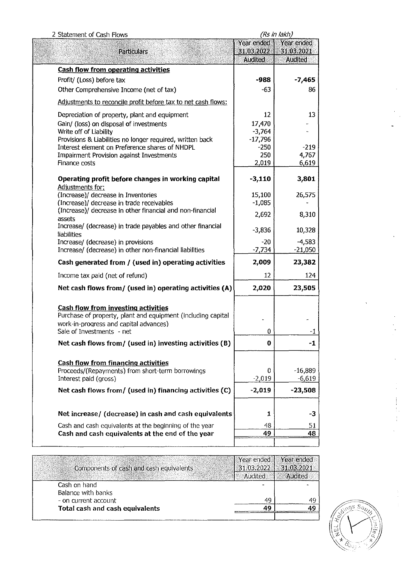| 2 Statement of Cash Flows                                                                         |                | (Rs in lakh)    |
|---------------------------------------------------------------------------------------------------|----------------|-----------------|
|                                                                                                   | Year ended     | Year ended      |
| <b>Particulars</b>                                                                                | 31.03.2022     | 31.03.2021      |
| <b>Cash flow from operating activities</b>                                                        | <b>Audited</b> | <b>Audited</b>  |
|                                                                                                   |                |                 |
| Profit/ (Loss) before tax                                                                         | -988           | $-7,465$        |
| Other Comprehensive Income (net of tax)                                                           | $-63$          | 86              |
| Adjustments to reconcile profit before tax to net cash flows:                                     |                |                 |
| Depreciation of property, plant and equipment                                                     | 12             | 13              |
| Gain/ (loss) on disposal of investments                                                           | 17,470         |                 |
| Write off of Liability                                                                            | $-3,764$       |                 |
| Provisions & Liabilities no longer required, written back                                         | $-17,796$      |                 |
| Interest element on Preference shares of NHDPL<br><b>Impairment Provision against Investments</b> | $-250$<br>250  | $-219$<br>4,767 |
| Finance costs                                                                                     | 2,019          | 6,619           |
|                                                                                                   |                |                 |
| Operating profit before changes in working capital                                                | $-3,110$       | 3,801           |
| Adjustments for:<br>(Increase)/ decrease in Inventories                                           | 15,100         | 26,575          |
| (Increase)/ decrease in trade receivables                                                         | $-1,085$       |                 |
| (Increase)/ decrease in other financial and non-financial                                         |                |                 |
| assets                                                                                            | 2,692          | 8,310           |
| Increase/ (decrease) in trade payables and other financial<br>liabilities                         | $-3,836$       | 10,328          |
| Increase/ (decrease) in provisions                                                                | $-20$          | $-4,583$        |
| Increase/ (decrease) in other non-financial liabilities                                           | $-7,734$       | $-21,050$       |
| Cash generated from / (used in) operating activities                                              | 2,009          | 23,382          |
| Income tax paid (net of refund)                                                                   | 12             | 124             |
| Net cash flows from/ (used in) operating activities (A)                                           | 2,020          | 23,505          |
| <b>Cash flow from investing activities</b>                                                        |                |                 |
| Purchase of property, plant and equipment (including capital                                      |                |                 |
| work-in-progress and capital advances)                                                            |                |                 |
| Sale of Investments - net                                                                         | 0              | 1               |
| Net cash flows from/ (used in) investing activities (B)                                           | 0              | -1              |
| <b>Cash flow from financing activities</b>                                                        |                |                 |
| Proceeds/(Repayments) from short-term borrowings                                                  | 0              | $-16,889$       |
| Interest paid (gross)                                                                             | $-2,019$       | $-6,619$        |
| Net cash flows from/ (used in) financing activities (C)                                           | $-2,019$       | $-23,508$       |
|                                                                                                   |                |                 |
| Net increase/ (decrease) in cash and cash equivalents                                             | 1              | -3              |
| Cash and cash equivalents at the beginning of the year                                            | 48             | 51              |
| Cash and cash equivalents at the end of the year                                                  | 49             | 48              |
|                                                                                                   |                |                 |

| Total cash and cash equivalents         | ΔQ                                  |            |
|-----------------------------------------|-------------------------------------|------------|
| - on current account                    | 49                                  | 49         |
| Balance with banks                      |                                     |            |
| Cash on hand                            |                                     |            |
|                                         | <b>Audited</b>                      | Audited    |
| Components of cash and cash equivalents | $\mid$ 31.03.2022 $\mid$ 31.03.2021 |            |
|                                         | Year ended                          | Year ended |



 $\frac{1}{2}$ 

 $\begin{array}{c} \frac{1}{2} & \frac{1}{2} \\ \frac{1}{2} & \frac{1}{2} \\ \frac{1}{2} & \frac{1}{2} \\ \frac{1}{2} & \frac{1}{2} \\ \frac{1}{2} & \frac{1}{2} \\ \frac{1}{2} & \frac{1}{2} \\ \frac{1}{2} & \frac{1}{2} \\ \frac{1}{2} & \frac{1}{2} \\ \frac{1}{2} & \frac{1}{2} \\ \frac{1}{2} & \frac{1}{2} \\ \frac{1}{2} & \frac{1}{2} \\ \frac{1}{2} & \frac{1}{2} \\ \frac{1}{2} & \frac{1}{2} \\ \frac{1}{$ 

 $\frac{1}{4}$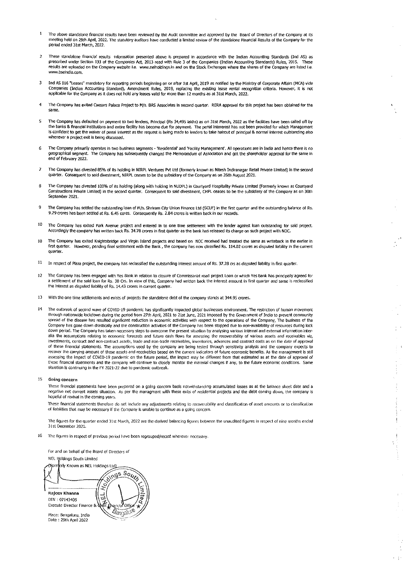- $\mathbf{1}$ 111e above standalone financial results have been reviewed by the Audit committee and approved by the Board of Directors of the Company at its meeting held on 29th April, 2022. The statutory auditors have conducted a limited review of the standalone Financial Results of the Company for the period ended 31st March, 2022.
- These standalone financial results information presented above is prepared in accordance with the Indian Accounting Standards (Ind AS) as prescribed under Section 133 of the Companies Act, 2013 read with Rule 3 of the Companies (Indian Accounting Standards) Rules, 2015. These results are uploaded on the Company website I.e. www.nelholdings.in and on the Stock Exchanges where the shares of the Company are listed I.e. www.bseindia.com.
- 3 Ind AS 116 "Leases" mandatory for reporting periods beginning on or after 1st April, 2019 as notified by the Ministry of Corporate Affairs (MCA) vide Companies (Indian Accounting Standard), Amendment Rules, 2019, replacing the existing lease rental recognItion criteria. However, It is not applicable for the Company as it does not hold any leases valld for more than 12 months as at 31st March, 2022.
- The Company has exited Caesars Palace Project to M/s. BRS Associates In second quarter. RERA approval for this project has been obtained for the same.
- \$ The Company has defaulted on payment to two lenders, Principal (Rs 34,495 lakhs) as on 31st March, 2022 as the facilities have been called off by the banks & financial institutions and entire facility has become due for payment. The penal intererest has not been provided for which Management Is confident to get the waiver of penal Interest as the request is being made to lenders to take haircut of principal & normal interest outstanding also whenever a project exit Is being discussed.
- 6 TIle Company primarily operates in two business segments 'Residential' and 'Facility Management'. All operations are In India and hence there Is no geographical segment. The Company has subsequently changed the Memorandum of Association and got the shareholder approval for the same in end of February 2022.
- $\overline{\mathbf{z}}$ The Company has divested 85% of its holding in NIRPL Ventures Pvt Ltd (formerly known as Nitesh Indiranagar Retail Private Limited) in the second quarter. Consequent to said divestment, NIRPL ceases to be the subsidiary of the Company as on 26th August 2021.
- 8 The Company has divested 100% of its holding (along with holding in NUDPL) in Courtyard Hospitality Private Limited (Formerly known as Courtyard<br>Constructions Private Limited) in the second quarter. Consequent to said div September 2021.
- 9 The Company has settled the outstanding loan of M/s. Shriram City Union Finance ltd (SOJf) in the first quarter and the outstand'ing balance of Rs. 9.29 crores has been settled at Rs. 6.45 cores. Consequently Rs. 2.84 crores Is written back In our records.
- 10 The Company has exited Park Avenue project and entered In to one time settlement with the lender against loan outstanding for said project. Accord!ngly the company has written back Rs. 34.78 crores in first quarter as the bank has released Its charge on such project with NOC.
- 10 The Company has exited Knightsbridge and Virgin Island projects and based on NOC received had treated the same as writeback in the earlier in first quarter. However, pending final settlement with the Bank, the company has now classified Rs. 114.02 crores as disputed liability in the current quarter.
- 11 In respect of Plaza project, the company has reclassified the outstanding interest amount of Rs. 37.28 crs as disputed liability in first quarter.
- 12 The Company has been engaged with Yes Bank in relation to closure of Commissariat road project Loan or which Yes bank has principally agreed for a settlement of the said loan for Rs. 30 Crs. In view of this, Company had written back the Interest amount In first quarter and same Is reclassified the Interest as disputed liability of Rs. 14.43 crores In current quarter.
- 13 With the one time settlements and exists of projects the standalone debt of the company stands at 344.95 crores.
- 14 llle outbreak of second wave of *COVlD·19* pandemic has significantly impacted global buslnesses environment. The restriction of human movement through nationwide lockdown during the period from 27th April, 2021 to 21st June, 2021 imposed by the Government of India to prevent community spread of the disease has resulted significant reduction in economic activities with respect to the operations of the Company, The business of the<br>Company has gone down drastically and the construction activities of the Co down period. The Company has taken necessary steps to overcome the present situation by analysing various internal and external information interalia the assumptions relating to economic forecasts and future cash flows for assessing the recoverability of various assets and receivables viz, investments, contract and non·contract assets, trade and lion "trade receivables, inventories, advances and contract costs as on the date of approval of these financial statements. The assumptions used by the company are being tested through sensitivity analysis and the company expects to recover the carrying amount of these assets and receivables based on the current indicators of future economic benefits. As the management is still assessing the impact of COVID-19 pandemic on the future period, the impact may be different from that estimated as at the date of approval of these financial statements and the company will continue to closely monitor the material changes If any, to the future economic conditions. Same situation is continuing in the FY 2021-22 due to pandemic outbreak.

 $\begin{array}{c} \bullet \\ \bullet \\ \bullet \\ \bullet \end{array}$ 

 $\label{eq:reduced} \frac{1}{2} \left( \frac{1}{2} \left( \frac{1}{2} \left( \frac{1}{2} \left( \frac{1}{2} \left( \frac{1}{2} \left( \frac{1}{2} \left( \frac{1}{2} \right) \right) \right) + \frac{1}{2} \left( \frac{1}{2} \left( \frac{1}{2} \left( \frac{1}{2} \left( \frac{1}{2} \right) \right) \right) + \frac{1}{2} \left( \frac{1}{2} \left( \frac{1}{2} \left( \frac{1}{2} \right) \right) \right) \right) \right) \right) - \frac{1}{2} \left( \frac$ 

ţ

 $\mathbf{I}$ ţ

#### 15 Going concern

These financial statements have been prepared on a going concern basis notwithstanding accumulated losses as at the balance sheet date and a negative net current assets situation. As per the managment with these exits of residential projects and the debt coming down, the company is hopeful of revival In the coming years.

These financial statements therefore do not include any adjustments relating to recoverability and classification of asset amounts or to classification of liabilities that may be necessary if the Company is unable to continue as a going concern.

The figures for the quarter ended 31st March, 2022 are the derived balancing figures between the unaudited figures in respect of nine months ended 31st December 2021.

I6 The figures in respect of previous period have been regrouped/recast wherever necessary.

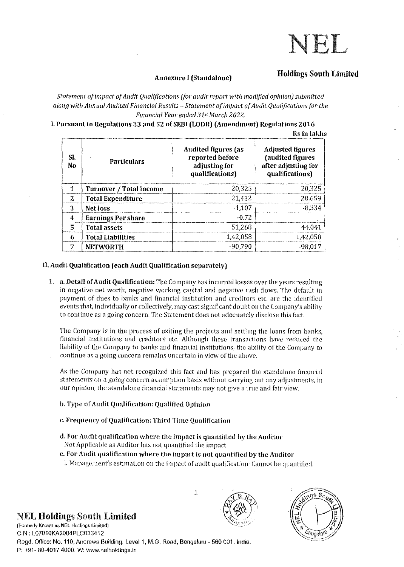# UET.

# Annexure I (Standalone) Holdings South Limited

*Statement of impact of Audit Qualifications (for audit report with modified opinion) submitted along with Annual Audited Financial Results* - *Statement of impact of Audit Qualifications filr the Financial Year ended 31st March 2022.* 

I. Pursuant to Regulations 33 and 52 of SEBI (LODR) (Amendment) Regulations 2016 Rs inlakhs

| SI.<br>No | <b>Particulars</b>        | <b>Audited figures (as</b><br>reported before<br>adjusting for<br>qualifications) | <b>Adjusted figures</b><br>(audited figures<br>after adjusting for<br>qualifications) |  |
|-----------|---------------------------|-----------------------------------------------------------------------------------|---------------------------------------------------------------------------------------|--|
|           | Turnover / Total income   | 20,325                                                                            | 20,325                                                                                |  |
| 2         | <b>Total Expenditure</b>  | 21,432                                                                            | 28.659                                                                                |  |
| З         | <b>Net loss</b>           | $-1,107$                                                                          | -8.334                                                                                |  |
| 4         | <b>Earnings Per share</b> | $-0.72$                                                                           |                                                                                       |  |
| 5         | <b>Total assets</b>       | 51,268                                                                            | 44.041                                                                                |  |
| 6         | <b>Total Liabilities</b>  | 1,42,058                                                                          | 142.058                                                                               |  |
| 7         | <b>NETWORTH</b>           | $-90,790$                                                                         | -98.017                                                                               |  |

#### II. Audit Qualification (each Audit Qualification separately)

1. a. Detail of Audit Qualification: The Company has incurred losses over the years resulting in negative net worth, negative working capital and *negative* cash flows. The default in payment of dues to banks and financial institution and creditors etc. are the identified events that, individually or collectively, may cast significant doubt on the Company's ability to coutinue as a going concern. The Statement does not adequately disclose this fact.

The Company is in the process of exiting the projects and settling the loans from banks, financial institutions and creditors etc. Although these transactions have reduced the liability of the Company to banks and financial institutions, the ability of the Company to continue as a going concern remains uncertain in view of the above.

As the Company has not recognized this fact aud has prepared the standalone financial statements on a going concern assumption basis without carrying out any adjustments, in our opinion, the standalone financial statements may not give a true and fair view.

## b. Type of Audit Qualification: Qualified Opinion

## c. Frequency of Qualification: Third Time Qualification

- d. For Audit qualification where the impact is quantified by the Auditor Not Applicable as Auditor has not quantified the impact
- e. For Audit qualification where the impact is not quantified by the Auditor
- i. Management's estimation on the impact of audit qualification: Cannot be quantified.

# NEL Holdings South Limited





1.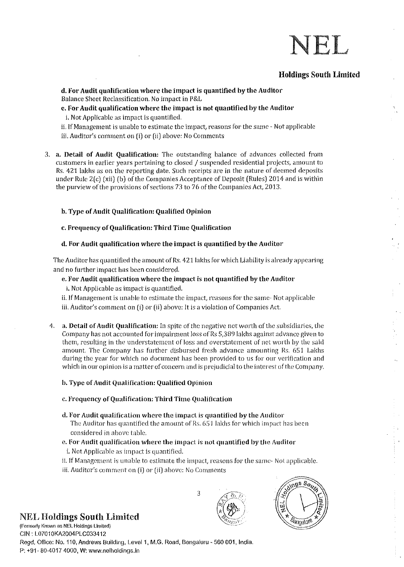# EL

# Holdings South Limited

d. For Audit qualification where the impact is quantified by the Auditor Balance Sheet Reclassification, No impact in P&L

c. For Audit qualification where the impact is not quantified by the Auditor i. Not Applicable as impact is quantified.

ii. If Management is unable to estimate the impact, reasons for the same - Not applicable iii. Auditor's comment on (i) or (ii) above: No Comments

3, a, Detail of Audit Qualification: The outstanding balance of advances collected from customers in earlier years pertaining to dosed / suspended residential projects, amount to Rs, 421 lakhs as on the reporting date. Such receipts are in the nature of deemed deposits under Rule  $2(c)$  (xii) (b) of the Companies Acceptance of Deposit (Rules) 2014 and is within the purview of the provisions of sections 73 to 76 of the Companies Act, 2013.

## h. Type of Audit Qualification: Qualified Opinion

# c. Frequency of Qualification: Third Time Qualification

## d, For Audit qualification where the impact is quantified by the Auditor

The Auditor has quantified the amount of Rs. 421 lakhs for which Liability is already appearing and no further impact has been considered.

## e. For Audit qualification where the impact is not quantified by the Auditor

i. Not Applicable as impact is quantified,

ii. If Management is unable to estimate the impact, reasons for the same-Not applicable  $i$ iii. Auditor's comment on  $(i)$  or  $(ii)$  above: It is a violation of Companies Act.

4, a, Detail of Audit Qualification: In spite of the negative not worth of the subsidiaries, the Company has not accounted for impairment loss of Rs 5,3B9 lakhs against advance given to them, resulting in the understatement of loss and overstatement of net worth by the said amount. The Company has further disbursed fresh advance amounting Rs. 651 Lakhs during the year for which no document has been provided to us for our verification and which in our opinion is a matter of concern and is prejudicial to the interest of the Company.

## b. Type of Audit Qualification: Qualified Opinion

## c, Frequency of Qualification: Third Time Qualification

d. For Audit qualification where the impact is quantified by the Auditor The Auditor has quantified the amount of Rs, 651 lakhs for which impact has been considered in above table,

# c, For Audit qualification where the impact is not quantified by the Auditor

- i. Not Applicable as impact is quantified,
- ii. If Management is unable to estimate the impact, reasons for the same- Not applicable.

3

iii. Auditor's comment on (i) or (ii) above: No Comments

# NEL Holdings South Limited (Formorly Known us NEL Holdings Limited)





CIN: L07010KA2004PLC033412 Regd, Office: No. 110, Andrews Building, Level 1, M.G. Road, Bengaluru - 560 001, India. P: +91-80-4017 4000, W: www.nelholdings.in